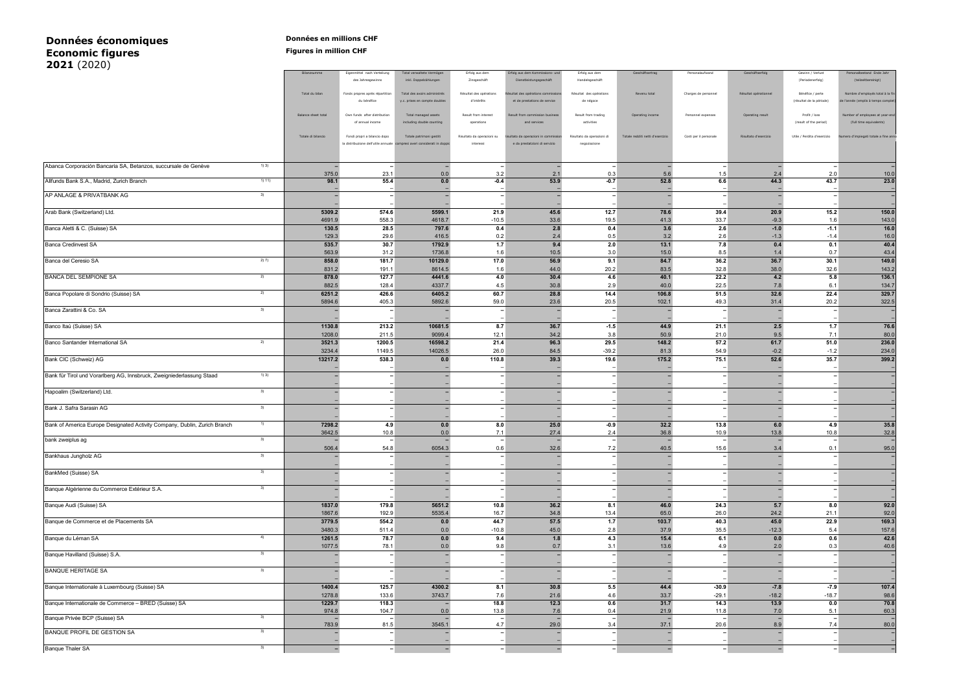## **Données économiques**<br> **Economic figures**<br> **Economic figures Economic figures Figures in million CHF 2021** (2020)

| Zinsgeschäft<br>(Periodenerfolg)<br>des Jahresgewinns<br>inkl. Doppelzählungen<br>Dienstleistungsgeschäft<br>Handelsgeschäft<br><i>(tellzeitbereinlat</i><br>Total du bilan<br>Fonds propres après répartition<br>Total des avoirs administrés<br>Résultat des opérations<br>Résultat des coérations<br>Revenu total<br>Charges de personnel<br>Résultat opérationnel<br>Bénéfice / perte<br>Nombre d'employés total à la f<br>ultat des onérations comp<br>du bénéfice<br>d'intérêts<br>(résultat de la période)<br>et de prestations de service<br>y.c. prises en compte doubles<br>de négoce<br><b>Balance sheet total</b><br>Own funds after distribution<br>Total managed assets<br>Result from interest<br>ssion busine<br>Result from trading<br>Personnel expenses<br>Profit / loss<br>yees at year-en<br>Result from<br>Operating income<br>Operating result<br>(result of the period<br>of annual inco<br>and services<br>activities<br>operations<br>Totale di bilancio<br>Totale patrimoni gestiti<br>Risultato da operazioni su<br>Risultato d'esercizio<br>Utile / Perdita d'esercizio<br>totale a fine anno<br>Fondi propri a bilancio dopo<br>Risultato da operazioni di<br>Totale redditi netti d'esercizio<br>Costi per il personale<br>ultato da<br>a distribuzione dell'utile annuale<br>e da prestatzioni di servizio<br>derati in do<br>interessi<br>negoziazione<br>1)3)<br>Abanca Corporación Bancaria SA, Betanzos, succursale de Genève<br><b>.</b><br>$\overline{\phantom{a}}$<br>$\overline{\phantom{a}}$<br>$\overline{\phantom{a}}$<br>375.0<br>23.1<br>0.0<br>0.3<br>2.0<br>3.2<br>2.1<br>5.6<br>1.5<br>2.4<br>10.0<br>1) 11)<br>52.8<br>44.3<br>43.7<br>Allfunds Bank S.A., Madrid, Zurich Branch<br>98.1<br>55.4<br>$0.0\,$<br>$-0.4$<br>53.9<br>$-0.7$<br>6.6<br>23.0<br>AP ANLAGE & PRIVATBANK AG<br>3)<br>$\overline{\phantom{a}}$<br>$\overline{\phantom{a}}$<br>$\overline{\phantom{a}}$<br>$\overline{\phantom{a}}$<br>$\overline{\phantom{a}}$<br>÷<br>$\overline{\phantom{0}}$<br>$\overline{\phantom{a}}$<br>$\overline{\phantom{a}}$<br>$\overline{a}$<br>$\overline{\phantom{a}}$<br>Arab Bank (Switzerland) Ltd.<br>5309.2<br>574.6<br>5599.1<br>21.9<br>45.6<br>12.7<br>78.6<br>39.4<br>20.9<br>15.2<br>4691.9<br>558.3<br>4618.7<br>$-10.5$<br>33.6<br>19.5<br>41.3<br>33.7<br>$-9.3$<br>1.6<br>Banca Aletti & C. (Suisse) SA<br>130.5<br>28.5<br>797.6<br>0.4<br>2.8<br>0.4<br>3.6<br>2.6<br>$-1.0$<br>$-1.1$<br>16.0<br>129.3<br>29.6<br>416.5<br>0.2<br>2.4<br>0.5<br>3.2<br>2.6<br>$-1.3$<br>$-1.4$<br>40.4<br><b>Banca Credinvest SA</b><br>535.7<br>30.7<br>1792.9<br>1.7<br>9.4<br>2.0<br>13.1<br>7.8<br>0.4<br>0.1<br>563.9<br>43.4<br>1736.8<br>10.5<br>31.2<br>1.6<br>3.0<br>15.0<br>8.5<br>1.4<br>0.7<br>149.0<br>Banca del Ceresio SA<br>858.0<br>181.7<br>17.0<br>36.2<br>36.7<br>30.1<br>2) 7)<br>10129.0<br>56.9<br>9.1<br>84.7<br>831.2<br>191.1<br>8614.5<br>1.6<br>44.0<br>20.2<br>83.5<br>32.8<br>38.0<br>32.6<br>143.2<br><b>BANCA DEL SEMPIONE SA</b><br>878.0<br>127.7<br>4441.6<br>4.0<br>30.4<br>4.6<br>40.1<br>22.2<br>4.2<br>5.8<br>136.1<br>2)<br>882.5<br>128.4<br>4337.7<br>4.5<br>30.8<br>2.9<br>40.0<br>22.5<br>7.8<br>134.7<br>6.1<br>6251.2<br>6405.2<br>106.8<br>51.5<br>32.6<br>22.4<br>329.7<br>Banca Popolare di Sondrio (Suisse) SA<br>426.6<br>60.7<br>28.8<br>14.4<br>2)<br>5894.6<br>405.3<br>5892.6<br>59.0<br>23.6<br>20.5<br>102.1<br>49.3<br>31.4<br>20.2<br>Banca Zarattini & Co. SA<br>3)<br>$\overline{a}$<br>10681.5<br>2.5<br>Banco Itaú (Suisse) SA<br>1130.8<br>213.2<br>8.7<br>36.7<br>$-1.5$<br>44.9<br>21.1<br>1.7<br>1208.0<br>211.5<br>9099.4<br>12.1<br>34.2<br>3.8<br>50.9<br>21.0<br>9.5<br>80.0<br>7.1<br>3521.3<br>1200.5<br>21.4<br>96.3<br>29.5<br>148.2<br>57.2<br>61.7<br>51.0<br>Banco Santander International SA<br>2)<br>16598.2<br>3234.4<br>1149.5<br>14026.5<br>84.5<br>$-39.2$<br>54.9<br>234.0<br>26.0<br>81.3<br>$-0.2$<br>$-1.2$<br>110.8<br>52.6<br>35.7<br>Bank CIC (Schweiz) AG<br>13217.2<br>538.3<br>0.0<br>39.3<br>19.6<br>175.2<br>75.1<br>1) 3)<br>Bank für Tirol und Vorarlberg AG, Innsbruck, Zweigniederlassung Staad<br>$\overline{\phantom{a}}$<br>$\overline{\phantom{a}}$<br>$\overline{\phantom{a}}$<br>$\overline{\phantom{a}}$<br>$\blacksquare$<br>3)<br>Hapoalim (Switzerland) Ltd.<br>$\overline{\phantom{a}}$<br>$\overline{\phantom{a}}$<br>$\overline{a}$<br>-1<br>$\overline{\phantom{0}}$<br>$\blacksquare$<br>÷<br>$\overline{\phantom{a}}$<br>Bank J. Safra Sarasin AG<br>3)<br>$\overline{\phantom{0}}$<br>$\overline{\phantom{a}}$<br>$\overline{\phantom{0}}$<br>$\overline{\phantom{0}}$<br>7298.2<br>6.0<br>Bank of America Europe Designated Activity Company, Dublin, Zurich Branch<br>1)<br>4.9<br>0.0<br>8.0<br>25.0<br>$-0.9$<br>32.2<br>13.8<br>4.9<br>35.8<br>3642.5<br>27.4<br>13.8<br>10.8<br>10.8<br>0.0<br>71<br>36.8<br>10.9<br>32.8<br>2.4<br>bank zweiplus ag<br>3)<br>506.4<br>6054.3<br>32.6<br>54.8<br>0.6<br>7.2<br>40.5<br>15.6<br>3.4<br>0.1<br>95.0<br>Bankhaus Jungholz AG<br>3)<br>$\overline{\phantom{a}}$<br>$\overline{\phantom{a}}$<br>BankMed (Suisse) SA<br>$\overline{\phantom{0}}$<br>3)<br>Banque Algérienne du Commerce Extérieur S.A.<br>$\overline{\phantom{0}}$<br>5651.2<br>36.2<br>46.0<br>92.0<br>1837.0<br>179.8<br>10.8<br>8.1<br>24.3<br>5.7<br>8.0<br>Banque Audi (Suisse) SA<br>1867.6<br>5535.4<br>92.0<br>192.9<br>16.7<br>34.8<br>13.4<br>65.0<br>26.0<br>24.2<br>21.1<br>57.5<br>45.0<br>22.9<br>Banque de Commerce et de Placements SA<br>3779.5<br>554.2<br>$0.0\,$<br>44.7<br>1.7<br>103.7<br>40.3<br>3480.3<br>511.4<br>$0.0\,$<br>$-10.8$<br>45.0<br>2.8<br>37.9<br>35.5<br>$-12.3$<br>5.4<br>157.6<br>1261.5<br>1.8<br>4.3<br>15.4<br>0.0<br>Banque du Léman SA<br>4)<br>78.7<br>0.0<br>9.4<br>6.1<br>0.6<br>1077.5<br>78.1<br>0.0<br>9.8<br>0.7<br>3.1<br>13.6<br>2.0<br>0.3<br>40.6<br>4.9<br>Banque Havilland (Suisse) S.A.<br>3)<br>$\overline{\phantom{a}}$<br>$\overline{\phantom{0}}$<br>$\overline{\phantom{a}}$<br>$\overline{\phantom{a}}$<br>$\overline{\phantom{0}}$<br>$\overline{\phantom{a}}$<br>$\overline{\phantom{0}}$<br><b>BANQUE HERITAGE SA</b><br>3)<br>$\overline{a}$<br>$\overline{\phantom{0}}$<br>$\overline{\phantom{a}}$<br>$\overline{a}$<br>$\overline{\phantom{0}}$<br>$\overline{\phantom{a}}$<br>$\overline{\phantom{a}}$<br>1400.4<br>125.7<br>4300.2<br>8.1<br>30.8<br>5.5<br>44.4<br>$-30.9$<br>$-7.8$<br>$-7.9$<br>107.4<br>Banque Internationale à Luxembourg (Suisse) SA<br>1278.8<br>133.6<br>3743.7<br>7.6<br>21.6<br>4.6<br>33.7<br>$-29.1$<br>$-18.2$<br>$-18.7$<br>1229.7<br>12.3<br>13.9<br>Banque Internationale de Commerce - BRED (Suisse) SA<br>118.3<br>18.8<br>0.6<br>31.7<br>14.3<br>0.0<br>974.8<br>104.7<br>0.0<br>13.8<br>21.9<br>11.8<br>7.0<br>60.3<br>7.6<br>0.4<br>5.1<br>Banque Privée BCP (Suisse) SA<br>3)<br>4.7<br>783.9<br>81.5<br>3545.1<br>29.0<br>3.4<br>37.1<br>20.6<br>8.9<br>7.4<br>80.0<br>BANQUE PROFIL DE GESTION SA<br>3)<br>$\overline{\phantom{0}}$<br>$\overline{\phantom{0}}$<br>$\overline{\phantom{a}}$<br>۰<br>$\overline{\phantom{0}}$<br>- 1 |                         |  |  |  |  |  |                          |
|-----------------------------------------------------------------------------------------------------------------------------------------------------------------------------------------------------------------------------------------------------------------------------------------------------------------------------------------------------------------------------------------------------------------------------------------------------------------------------------------------------------------------------------------------------------------------------------------------------------------------------------------------------------------------------------------------------------------------------------------------------------------------------------------------------------------------------------------------------------------------------------------------------------------------------------------------------------------------------------------------------------------------------------------------------------------------------------------------------------------------------------------------------------------------------------------------------------------------------------------------------------------------------------------------------------------------------------------------------------------------------------------------------------------------------------------------------------------------------------------------------------------------------------------------------------------------------------------------------------------------------------------------------------------------------------------------------------------------------------------------------------------------------------------------------------------------------------------------------------------------------------------------------------------------------------------------------------------------------------------------------------------------------------------------------------------------------------------------------------------------------------------------------------------------------------------------------------------------------------------------------------------------------------------------------------------------------------------------------------------------------------------------------------------------------------------------------------------------------------------------------------------------------------------------------------------------------------------------------------------------------------------------------------------------------------------------------------------------------------------------------------------------------------------------------------------------------------------------------------------------------------------------------------------------------------------------------------------------------------------------------------------------------------------------------------------------------------------------------------------------------------------------------------------------------------------------------------------------------------------------------------------------------------------------------------------------------------------------------------------------------------------------------------------------------------------------------------------------------------------------------------------------------------------------------------------------------------------------------------------------------------------------------------------------------------------------------------------------------------------------------------------------------------------------------------------------------------------------------------------------------------------------------------------------------------------------------------------------------------------------------------------------------------------------------------------------------------------------------------------------------------------------------------------------------------------------------------------------------------------------------------------------------------------------------------------------------------------------------------------------------------------------------------------------------------------------------------------------------------------------------------------------------------------------------------------------------------------------------------------------------------------------------------------------------------------------------------------------------------------------------------------------------------------------------------------------------------------------------------------------------------------------------------------------------------------------------------------------------------------------------------------------------------------------------------------------------------------------------------------------------------------------------------------------------------------------------------------------------------------------------------------------------------------------------------------------------------------------------------------------------------------------------------------------------------------------------------------------------------------------------------------------------------------------------------------------------------------------------------------------------------------------------------------------------------------------------------------------------------------------------------------------------------------------------------------------------------------------------------------------------------------------------------------------------------------------------------------------------------------------------------------------------------------------------------------------------------------------------------------------------------------------------------------------------------------------------------------------------------------------------------------------------------------------------------------------------------------------------------------------------------------------------------------------------------------------------------------------------------------------------------------------------------------------------------------------------------------------------------------------------------------------------------------------------------------------------------------------------------------------------------------------------------------------------------------------------------------------------------------------------------------------------------------------------------------------------------------------------------------------------------------------------------------------------------------------------------------------------------------------------------------------------|-------------------------|--|--|--|--|--|--------------------------|
|                                                                                                                                                                                                                                                                                                                                                                                                                                                                                                                                                                                                                                                                                                                                                                                                                                                                                                                                                                                                                                                                                                                                                                                                                                                                                                                                                                                                                                                                                                                                                                                                                                                                                                                                                                                                                                                                                                                                                                                                                                                                                                                                                                                                                                                                                                                                                                                                                                                                                                                                                                                                                                                                                                                                                                                                                                                                                                                                                                                                                                                                                                                                                                                                                                                                                                                                                                                                                                                                                                                                                                                                                                                                                                                                                                                                                                                                                                                                                                                                                                                                                                                                                                                                                                                                                                                                                                                                                                                                                                                                                                                                                                                                                                                                                                                                                                                                                                                                                                                                                                                                                                                                                                                                                                                                                                                                                                                                                                                                                                                                                                                                                                                                                                                                                                                                                                                                                                                                                                                                                                                                                                                                                                                                                                                                                                                                                                                                                                                                                                                                                                                                                                                                                                                                                                                                                                                                                                                                                                                                                                                                                                                                                     |                         |  |  |  |  |  |                          |
|                                                                                                                                                                                                                                                                                                                                                                                                                                                                                                                                                                                                                                                                                                                                                                                                                                                                                                                                                                                                                                                                                                                                                                                                                                                                                                                                                                                                                                                                                                                                                                                                                                                                                                                                                                                                                                                                                                                                                                                                                                                                                                                                                                                                                                                                                                                                                                                                                                                                                                                                                                                                                                                                                                                                                                                                                                                                                                                                                                                                                                                                                                                                                                                                                                                                                                                                                                                                                                                                                                                                                                                                                                                                                                                                                                                                                                                                                                                                                                                                                                                                                                                                                                                                                                                                                                                                                                                                                                                                                                                                                                                                                                                                                                                                                                                                                                                                                                                                                                                                                                                                                                                                                                                                                                                                                                                                                                                                                                                                                                                                                                                                                                                                                                                                                                                                                                                                                                                                                                                                                                                                                                                                                                                                                                                                                                                                                                                                                                                                                                                                                                                                                                                                                                                                                                                                                                                                                                                                                                                                                                                                                                                                                     |                         |  |  |  |  |  |                          |
|                                                                                                                                                                                                                                                                                                                                                                                                                                                                                                                                                                                                                                                                                                                                                                                                                                                                                                                                                                                                                                                                                                                                                                                                                                                                                                                                                                                                                                                                                                                                                                                                                                                                                                                                                                                                                                                                                                                                                                                                                                                                                                                                                                                                                                                                                                                                                                                                                                                                                                                                                                                                                                                                                                                                                                                                                                                                                                                                                                                                                                                                                                                                                                                                                                                                                                                                                                                                                                                                                                                                                                                                                                                                                                                                                                                                                                                                                                                                                                                                                                                                                                                                                                                                                                                                                                                                                                                                                                                                                                                                                                                                                                                                                                                                                                                                                                                                                                                                                                                                                                                                                                                                                                                                                                                                                                                                                                                                                                                                                                                                                                                                                                                                                                                                                                                                                                                                                                                                                                                                                                                                                                                                                                                                                                                                                                                                                                                                                                                                                                                                                                                                                                                                                                                                                                                                                                                                                                                                                                                                                                                                                                                                                     |                         |  |  |  |  |  |                          |
|                                                                                                                                                                                                                                                                                                                                                                                                                                                                                                                                                                                                                                                                                                                                                                                                                                                                                                                                                                                                                                                                                                                                                                                                                                                                                                                                                                                                                                                                                                                                                                                                                                                                                                                                                                                                                                                                                                                                                                                                                                                                                                                                                                                                                                                                                                                                                                                                                                                                                                                                                                                                                                                                                                                                                                                                                                                                                                                                                                                                                                                                                                                                                                                                                                                                                                                                                                                                                                                                                                                                                                                                                                                                                                                                                                                                                                                                                                                                                                                                                                                                                                                                                                                                                                                                                                                                                                                                                                                                                                                                                                                                                                                                                                                                                                                                                                                                                                                                                                                                                                                                                                                                                                                                                                                                                                                                                                                                                                                                                                                                                                                                                                                                                                                                                                                                                                                                                                                                                                                                                                                                                                                                                                                                                                                                                                                                                                                                                                                                                                                                                                                                                                                                                                                                                                                                                                                                                                                                                                                                                                                                                                                                                     |                         |  |  |  |  |  |                          |
|                                                                                                                                                                                                                                                                                                                                                                                                                                                                                                                                                                                                                                                                                                                                                                                                                                                                                                                                                                                                                                                                                                                                                                                                                                                                                                                                                                                                                                                                                                                                                                                                                                                                                                                                                                                                                                                                                                                                                                                                                                                                                                                                                                                                                                                                                                                                                                                                                                                                                                                                                                                                                                                                                                                                                                                                                                                                                                                                                                                                                                                                                                                                                                                                                                                                                                                                                                                                                                                                                                                                                                                                                                                                                                                                                                                                                                                                                                                                                                                                                                                                                                                                                                                                                                                                                                                                                                                                                                                                                                                                                                                                                                                                                                                                                                                                                                                                                                                                                                                                                                                                                                                                                                                                                                                                                                                                                                                                                                                                                                                                                                                                                                                                                                                                                                                                                                                                                                                                                                                                                                                                                                                                                                                                                                                                                                                                                                                                                                                                                                                                                                                                                                                                                                                                                                                                                                                                                                                                                                                                                                                                                                                                                     |                         |  |  |  |  |  |                          |
|                                                                                                                                                                                                                                                                                                                                                                                                                                                                                                                                                                                                                                                                                                                                                                                                                                                                                                                                                                                                                                                                                                                                                                                                                                                                                                                                                                                                                                                                                                                                                                                                                                                                                                                                                                                                                                                                                                                                                                                                                                                                                                                                                                                                                                                                                                                                                                                                                                                                                                                                                                                                                                                                                                                                                                                                                                                                                                                                                                                                                                                                                                                                                                                                                                                                                                                                                                                                                                                                                                                                                                                                                                                                                                                                                                                                                                                                                                                                                                                                                                                                                                                                                                                                                                                                                                                                                                                                                                                                                                                                                                                                                                                                                                                                                                                                                                                                                                                                                                                                                                                                                                                                                                                                                                                                                                                                                                                                                                                                                                                                                                                                                                                                                                                                                                                                                                                                                                                                                                                                                                                                                                                                                                                                                                                                                                                                                                                                                                                                                                                                                                                                                                                                                                                                                                                                                                                                                                                                                                                                                                                                                                                                                     |                         |  |  |  |  |  |                          |
|                                                                                                                                                                                                                                                                                                                                                                                                                                                                                                                                                                                                                                                                                                                                                                                                                                                                                                                                                                                                                                                                                                                                                                                                                                                                                                                                                                                                                                                                                                                                                                                                                                                                                                                                                                                                                                                                                                                                                                                                                                                                                                                                                                                                                                                                                                                                                                                                                                                                                                                                                                                                                                                                                                                                                                                                                                                                                                                                                                                                                                                                                                                                                                                                                                                                                                                                                                                                                                                                                                                                                                                                                                                                                                                                                                                                                                                                                                                                                                                                                                                                                                                                                                                                                                                                                                                                                                                                                                                                                                                                                                                                                                                                                                                                                                                                                                                                                                                                                                                                                                                                                                                                                                                                                                                                                                                                                                                                                                                                                                                                                                                                                                                                                                                                                                                                                                                                                                                                                                                                                                                                                                                                                                                                                                                                                                                                                                                                                                                                                                                                                                                                                                                                                                                                                                                                                                                                                                                                                                                                                                                                                                                                                     |                         |  |  |  |  |  |                          |
|                                                                                                                                                                                                                                                                                                                                                                                                                                                                                                                                                                                                                                                                                                                                                                                                                                                                                                                                                                                                                                                                                                                                                                                                                                                                                                                                                                                                                                                                                                                                                                                                                                                                                                                                                                                                                                                                                                                                                                                                                                                                                                                                                                                                                                                                                                                                                                                                                                                                                                                                                                                                                                                                                                                                                                                                                                                                                                                                                                                                                                                                                                                                                                                                                                                                                                                                                                                                                                                                                                                                                                                                                                                                                                                                                                                                                                                                                                                                                                                                                                                                                                                                                                                                                                                                                                                                                                                                                                                                                                                                                                                                                                                                                                                                                                                                                                                                                                                                                                                                                                                                                                                                                                                                                                                                                                                                                                                                                                                                                                                                                                                                                                                                                                                                                                                                                                                                                                                                                                                                                                                                                                                                                                                                                                                                                                                                                                                                                                                                                                                                                                                                                                                                                                                                                                                                                                                                                                                                                                                                                                                                                                                                                     |                         |  |  |  |  |  |                          |
|                                                                                                                                                                                                                                                                                                                                                                                                                                                                                                                                                                                                                                                                                                                                                                                                                                                                                                                                                                                                                                                                                                                                                                                                                                                                                                                                                                                                                                                                                                                                                                                                                                                                                                                                                                                                                                                                                                                                                                                                                                                                                                                                                                                                                                                                                                                                                                                                                                                                                                                                                                                                                                                                                                                                                                                                                                                                                                                                                                                                                                                                                                                                                                                                                                                                                                                                                                                                                                                                                                                                                                                                                                                                                                                                                                                                                                                                                                                                                                                                                                                                                                                                                                                                                                                                                                                                                                                                                                                                                                                                                                                                                                                                                                                                                                                                                                                                                                                                                                                                                                                                                                                                                                                                                                                                                                                                                                                                                                                                                                                                                                                                                                                                                                                                                                                                                                                                                                                                                                                                                                                                                                                                                                                                                                                                                                                                                                                                                                                                                                                                                                                                                                                                                                                                                                                                                                                                                                                                                                                                                                                                                                                                                     |                         |  |  |  |  |  |                          |
|                                                                                                                                                                                                                                                                                                                                                                                                                                                                                                                                                                                                                                                                                                                                                                                                                                                                                                                                                                                                                                                                                                                                                                                                                                                                                                                                                                                                                                                                                                                                                                                                                                                                                                                                                                                                                                                                                                                                                                                                                                                                                                                                                                                                                                                                                                                                                                                                                                                                                                                                                                                                                                                                                                                                                                                                                                                                                                                                                                                                                                                                                                                                                                                                                                                                                                                                                                                                                                                                                                                                                                                                                                                                                                                                                                                                                                                                                                                                                                                                                                                                                                                                                                                                                                                                                                                                                                                                                                                                                                                                                                                                                                                                                                                                                                                                                                                                                                                                                                                                                                                                                                                                                                                                                                                                                                                                                                                                                                                                                                                                                                                                                                                                                                                                                                                                                                                                                                                                                                                                                                                                                                                                                                                                                                                                                                                                                                                                                                                                                                                                                                                                                                                                                                                                                                                                                                                                                                                                                                                                                                                                                                                                                     |                         |  |  |  |  |  |                          |
|                                                                                                                                                                                                                                                                                                                                                                                                                                                                                                                                                                                                                                                                                                                                                                                                                                                                                                                                                                                                                                                                                                                                                                                                                                                                                                                                                                                                                                                                                                                                                                                                                                                                                                                                                                                                                                                                                                                                                                                                                                                                                                                                                                                                                                                                                                                                                                                                                                                                                                                                                                                                                                                                                                                                                                                                                                                                                                                                                                                                                                                                                                                                                                                                                                                                                                                                                                                                                                                                                                                                                                                                                                                                                                                                                                                                                                                                                                                                                                                                                                                                                                                                                                                                                                                                                                                                                                                                                                                                                                                                                                                                                                                                                                                                                                                                                                                                                                                                                                                                                                                                                                                                                                                                                                                                                                                                                                                                                                                                                                                                                                                                                                                                                                                                                                                                                                                                                                                                                                                                                                                                                                                                                                                                                                                                                                                                                                                                                                                                                                                                                                                                                                                                                                                                                                                                                                                                                                                                                                                                                                                                                                                                                     |                         |  |  |  |  |  | 150.0                    |
|                                                                                                                                                                                                                                                                                                                                                                                                                                                                                                                                                                                                                                                                                                                                                                                                                                                                                                                                                                                                                                                                                                                                                                                                                                                                                                                                                                                                                                                                                                                                                                                                                                                                                                                                                                                                                                                                                                                                                                                                                                                                                                                                                                                                                                                                                                                                                                                                                                                                                                                                                                                                                                                                                                                                                                                                                                                                                                                                                                                                                                                                                                                                                                                                                                                                                                                                                                                                                                                                                                                                                                                                                                                                                                                                                                                                                                                                                                                                                                                                                                                                                                                                                                                                                                                                                                                                                                                                                                                                                                                                                                                                                                                                                                                                                                                                                                                                                                                                                                                                                                                                                                                                                                                                                                                                                                                                                                                                                                                                                                                                                                                                                                                                                                                                                                                                                                                                                                                                                                                                                                                                                                                                                                                                                                                                                                                                                                                                                                                                                                                                                                                                                                                                                                                                                                                                                                                                                                                                                                                                                                                                                                                                                     |                         |  |  |  |  |  | 143.0                    |
|                                                                                                                                                                                                                                                                                                                                                                                                                                                                                                                                                                                                                                                                                                                                                                                                                                                                                                                                                                                                                                                                                                                                                                                                                                                                                                                                                                                                                                                                                                                                                                                                                                                                                                                                                                                                                                                                                                                                                                                                                                                                                                                                                                                                                                                                                                                                                                                                                                                                                                                                                                                                                                                                                                                                                                                                                                                                                                                                                                                                                                                                                                                                                                                                                                                                                                                                                                                                                                                                                                                                                                                                                                                                                                                                                                                                                                                                                                                                                                                                                                                                                                                                                                                                                                                                                                                                                                                                                                                                                                                                                                                                                                                                                                                                                                                                                                                                                                                                                                                                                                                                                                                                                                                                                                                                                                                                                                                                                                                                                                                                                                                                                                                                                                                                                                                                                                                                                                                                                                                                                                                                                                                                                                                                                                                                                                                                                                                                                                                                                                                                                                                                                                                                                                                                                                                                                                                                                                                                                                                                                                                                                                                                                     |                         |  |  |  |  |  | 16.0                     |
|                                                                                                                                                                                                                                                                                                                                                                                                                                                                                                                                                                                                                                                                                                                                                                                                                                                                                                                                                                                                                                                                                                                                                                                                                                                                                                                                                                                                                                                                                                                                                                                                                                                                                                                                                                                                                                                                                                                                                                                                                                                                                                                                                                                                                                                                                                                                                                                                                                                                                                                                                                                                                                                                                                                                                                                                                                                                                                                                                                                                                                                                                                                                                                                                                                                                                                                                                                                                                                                                                                                                                                                                                                                                                                                                                                                                                                                                                                                                                                                                                                                                                                                                                                                                                                                                                                                                                                                                                                                                                                                                                                                                                                                                                                                                                                                                                                                                                                                                                                                                                                                                                                                                                                                                                                                                                                                                                                                                                                                                                                                                                                                                                                                                                                                                                                                                                                                                                                                                                                                                                                                                                                                                                                                                                                                                                                                                                                                                                                                                                                                                                                                                                                                                                                                                                                                                                                                                                                                                                                                                                                                                                                                                                     |                         |  |  |  |  |  |                          |
|                                                                                                                                                                                                                                                                                                                                                                                                                                                                                                                                                                                                                                                                                                                                                                                                                                                                                                                                                                                                                                                                                                                                                                                                                                                                                                                                                                                                                                                                                                                                                                                                                                                                                                                                                                                                                                                                                                                                                                                                                                                                                                                                                                                                                                                                                                                                                                                                                                                                                                                                                                                                                                                                                                                                                                                                                                                                                                                                                                                                                                                                                                                                                                                                                                                                                                                                                                                                                                                                                                                                                                                                                                                                                                                                                                                                                                                                                                                                                                                                                                                                                                                                                                                                                                                                                                                                                                                                                                                                                                                                                                                                                                                                                                                                                                                                                                                                                                                                                                                                                                                                                                                                                                                                                                                                                                                                                                                                                                                                                                                                                                                                                                                                                                                                                                                                                                                                                                                                                                                                                                                                                                                                                                                                                                                                                                                                                                                                                                                                                                                                                                                                                                                                                                                                                                                                                                                                                                                                                                                                                                                                                                                                                     |                         |  |  |  |  |  |                          |
|                                                                                                                                                                                                                                                                                                                                                                                                                                                                                                                                                                                                                                                                                                                                                                                                                                                                                                                                                                                                                                                                                                                                                                                                                                                                                                                                                                                                                                                                                                                                                                                                                                                                                                                                                                                                                                                                                                                                                                                                                                                                                                                                                                                                                                                                                                                                                                                                                                                                                                                                                                                                                                                                                                                                                                                                                                                                                                                                                                                                                                                                                                                                                                                                                                                                                                                                                                                                                                                                                                                                                                                                                                                                                                                                                                                                                                                                                                                                                                                                                                                                                                                                                                                                                                                                                                                                                                                                                                                                                                                                                                                                                                                                                                                                                                                                                                                                                                                                                                                                                                                                                                                                                                                                                                                                                                                                                                                                                                                                                                                                                                                                                                                                                                                                                                                                                                                                                                                                                                                                                                                                                                                                                                                                                                                                                                                                                                                                                                                                                                                                                                                                                                                                                                                                                                                                                                                                                                                                                                                                                                                                                                                                                     |                         |  |  |  |  |  |                          |
|                                                                                                                                                                                                                                                                                                                                                                                                                                                                                                                                                                                                                                                                                                                                                                                                                                                                                                                                                                                                                                                                                                                                                                                                                                                                                                                                                                                                                                                                                                                                                                                                                                                                                                                                                                                                                                                                                                                                                                                                                                                                                                                                                                                                                                                                                                                                                                                                                                                                                                                                                                                                                                                                                                                                                                                                                                                                                                                                                                                                                                                                                                                                                                                                                                                                                                                                                                                                                                                                                                                                                                                                                                                                                                                                                                                                                                                                                                                                                                                                                                                                                                                                                                                                                                                                                                                                                                                                                                                                                                                                                                                                                                                                                                                                                                                                                                                                                                                                                                                                                                                                                                                                                                                                                                                                                                                                                                                                                                                                                                                                                                                                                                                                                                                                                                                                                                                                                                                                                                                                                                                                                                                                                                                                                                                                                                                                                                                                                                                                                                                                                                                                                                                                                                                                                                                                                                                                                                                                                                                                                                                                                                                                                     |                         |  |  |  |  |  |                          |
|                                                                                                                                                                                                                                                                                                                                                                                                                                                                                                                                                                                                                                                                                                                                                                                                                                                                                                                                                                                                                                                                                                                                                                                                                                                                                                                                                                                                                                                                                                                                                                                                                                                                                                                                                                                                                                                                                                                                                                                                                                                                                                                                                                                                                                                                                                                                                                                                                                                                                                                                                                                                                                                                                                                                                                                                                                                                                                                                                                                                                                                                                                                                                                                                                                                                                                                                                                                                                                                                                                                                                                                                                                                                                                                                                                                                                                                                                                                                                                                                                                                                                                                                                                                                                                                                                                                                                                                                                                                                                                                                                                                                                                                                                                                                                                                                                                                                                                                                                                                                                                                                                                                                                                                                                                                                                                                                                                                                                                                                                                                                                                                                                                                                                                                                                                                                                                                                                                                                                                                                                                                                                                                                                                                                                                                                                                                                                                                                                                                                                                                                                                                                                                                                                                                                                                                                                                                                                                                                                                                                                                                                                                                                                     |                         |  |  |  |  |  | 322.5                    |
|                                                                                                                                                                                                                                                                                                                                                                                                                                                                                                                                                                                                                                                                                                                                                                                                                                                                                                                                                                                                                                                                                                                                                                                                                                                                                                                                                                                                                                                                                                                                                                                                                                                                                                                                                                                                                                                                                                                                                                                                                                                                                                                                                                                                                                                                                                                                                                                                                                                                                                                                                                                                                                                                                                                                                                                                                                                                                                                                                                                                                                                                                                                                                                                                                                                                                                                                                                                                                                                                                                                                                                                                                                                                                                                                                                                                                                                                                                                                                                                                                                                                                                                                                                                                                                                                                                                                                                                                                                                                                                                                                                                                                                                                                                                                                                                                                                                                                                                                                                                                                                                                                                                                                                                                                                                                                                                                                                                                                                                                                                                                                                                                                                                                                                                                                                                                                                                                                                                                                                                                                                                                                                                                                                                                                                                                                                                                                                                                                                                                                                                                                                                                                                                                                                                                                                                                                                                                                                                                                                                                                                                                                                                                                     |                         |  |  |  |  |  |                          |
|                                                                                                                                                                                                                                                                                                                                                                                                                                                                                                                                                                                                                                                                                                                                                                                                                                                                                                                                                                                                                                                                                                                                                                                                                                                                                                                                                                                                                                                                                                                                                                                                                                                                                                                                                                                                                                                                                                                                                                                                                                                                                                                                                                                                                                                                                                                                                                                                                                                                                                                                                                                                                                                                                                                                                                                                                                                                                                                                                                                                                                                                                                                                                                                                                                                                                                                                                                                                                                                                                                                                                                                                                                                                                                                                                                                                                                                                                                                                                                                                                                                                                                                                                                                                                                                                                                                                                                                                                                                                                                                                                                                                                                                                                                                                                                                                                                                                                                                                                                                                                                                                                                                                                                                                                                                                                                                                                                                                                                                                                                                                                                                                                                                                                                                                                                                                                                                                                                                                                                                                                                                                                                                                                                                                                                                                                                                                                                                                                                                                                                                                                                                                                                                                                                                                                                                                                                                                                                                                                                                                                                                                                                                                                     |                         |  |  |  |  |  | 76.6                     |
|                                                                                                                                                                                                                                                                                                                                                                                                                                                                                                                                                                                                                                                                                                                                                                                                                                                                                                                                                                                                                                                                                                                                                                                                                                                                                                                                                                                                                                                                                                                                                                                                                                                                                                                                                                                                                                                                                                                                                                                                                                                                                                                                                                                                                                                                                                                                                                                                                                                                                                                                                                                                                                                                                                                                                                                                                                                                                                                                                                                                                                                                                                                                                                                                                                                                                                                                                                                                                                                                                                                                                                                                                                                                                                                                                                                                                                                                                                                                                                                                                                                                                                                                                                                                                                                                                                                                                                                                                                                                                                                                                                                                                                                                                                                                                                                                                                                                                                                                                                                                                                                                                                                                                                                                                                                                                                                                                                                                                                                                                                                                                                                                                                                                                                                                                                                                                                                                                                                                                                                                                                                                                                                                                                                                                                                                                                                                                                                                                                                                                                                                                                                                                                                                                                                                                                                                                                                                                                                                                                                                                                                                                                                                                     |                         |  |  |  |  |  | 236.0                    |
|                                                                                                                                                                                                                                                                                                                                                                                                                                                                                                                                                                                                                                                                                                                                                                                                                                                                                                                                                                                                                                                                                                                                                                                                                                                                                                                                                                                                                                                                                                                                                                                                                                                                                                                                                                                                                                                                                                                                                                                                                                                                                                                                                                                                                                                                                                                                                                                                                                                                                                                                                                                                                                                                                                                                                                                                                                                                                                                                                                                                                                                                                                                                                                                                                                                                                                                                                                                                                                                                                                                                                                                                                                                                                                                                                                                                                                                                                                                                                                                                                                                                                                                                                                                                                                                                                                                                                                                                                                                                                                                                                                                                                                                                                                                                                                                                                                                                                                                                                                                                                                                                                                                                                                                                                                                                                                                                                                                                                                                                                                                                                                                                                                                                                                                                                                                                                                                                                                                                                                                                                                                                                                                                                                                                                                                                                                                                                                                                                                                                                                                                                                                                                                                                                                                                                                                                                                                                                                                                                                                                                                                                                                                                                     |                         |  |  |  |  |  | 399.2                    |
|                                                                                                                                                                                                                                                                                                                                                                                                                                                                                                                                                                                                                                                                                                                                                                                                                                                                                                                                                                                                                                                                                                                                                                                                                                                                                                                                                                                                                                                                                                                                                                                                                                                                                                                                                                                                                                                                                                                                                                                                                                                                                                                                                                                                                                                                                                                                                                                                                                                                                                                                                                                                                                                                                                                                                                                                                                                                                                                                                                                                                                                                                                                                                                                                                                                                                                                                                                                                                                                                                                                                                                                                                                                                                                                                                                                                                                                                                                                                                                                                                                                                                                                                                                                                                                                                                                                                                                                                                                                                                                                                                                                                                                                                                                                                                                                                                                                                                                                                                                                                                                                                                                                                                                                                                                                                                                                                                                                                                                                                                                                                                                                                                                                                                                                                                                                                                                                                                                                                                                                                                                                                                                                                                                                                                                                                                                                                                                                                                                                                                                                                                                                                                                                                                                                                                                                                                                                                                                                                                                                                                                                                                                                                                     |                         |  |  |  |  |  |                          |
|                                                                                                                                                                                                                                                                                                                                                                                                                                                                                                                                                                                                                                                                                                                                                                                                                                                                                                                                                                                                                                                                                                                                                                                                                                                                                                                                                                                                                                                                                                                                                                                                                                                                                                                                                                                                                                                                                                                                                                                                                                                                                                                                                                                                                                                                                                                                                                                                                                                                                                                                                                                                                                                                                                                                                                                                                                                                                                                                                                                                                                                                                                                                                                                                                                                                                                                                                                                                                                                                                                                                                                                                                                                                                                                                                                                                                                                                                                                                                                                                                                                                                                                                                                                                                                                                                                                                                                                                                                                                                                                                                                                                                                                                                                                                                                                                                                                                                                                                                                                                                                                                                                                                                                                                                                                                                                                                                                                                                                                                                                                                                                                                                                                                                                                                                                                                                                                                                                                                                                                                                                                                                                                                                                                                                                                                                                                                                                                                                                                                                                                                                                                                                                                                                                                                                                                                                                                                                                                                                                                                                                                                                                                                                     |                         |  |  |  |  |  |                          |
|                                                                                                                                                                                                                                                                                                                                                                                                                                                                                                                                                                                                                                                                                                                                                                                                                                                                                                                                                                                                                                                                                                                                                                                                                                                                                                                                                                                                                                                                                                                                                                                                                                                                                                                                                                                                                                                                                                                                                                                                                                                                                                                                                                                                                                                                                                                                                                                                                                                                                                                                                                                                                                                                                                                                                                                                                                                                                                                                                                                                                                                                                                                                                                                                                                                                                                                                                                                                                                                                                                                                                                                                                                                                                                                                                                                                                                                                                                                                                                                                                                                                                                                                                                                                                                                                                                                                                                                                                                                                                                                                                                                                                                                                                                                                                                                                                                                                                                                                                                                                                                                                                                                                                                                                                                                                                                                                                                                                                                                                                                                                                                                                                                                                                                                                                                                                                                                                                                                                                                                                                                                                                                                                                                                                                                                                                                                                                                                                                                                                                                                                                                                                                                                                                                                                                                                                                                                                                                                                                                                                                                                                                                                                                     |                         |  |  |  |  |  |                          |
|                                                                                                                                                                                                                                                                                                                                                                                                                                                                                                                                                                                                                                                                                                                                                                                                                                                                                                                                                                                                                                                                                                                                                                                                                                                                                                                                                                                                                                                                                                                                                                                                                                                                                                                                                                                                                                                                                                                                                                                                                                                                                                                                                                                                                                                                                                                                                                                                                                                                                                                                                                                                                                                                                                                                                                                                                                                                                                                                                                                                                                                                                                                                                                                                                                                                                                                                                                                                                                                                                                                                                                                                                                                                                                                                                                                                                                                                                                                                                                                                                                                                                                                                                                                                                                                                                                                                                                                                                                                                                                                                                                                                                                                                                                                                                                                                                                                                                                                                                                                                                                                                                                                                                                                                                                                                                                                                                                                                                                                                                                                                                                                                                                                                                                                                                                                                                                                                                                                                                                                                                                                                                                                                                                                                                                                                                                                                                                                                                                                                                                                                                                                                                                                                                                                                                                                                                                                                                                                                                                                                                                                                                                                                                     |                         |  |  |  |  |  |                          |
|                                                                                                                                                                                                                                                                                                                                                                                                                                                                                                                                                                                                                                                                                                                                                                                                                                                                                                                                                                                                                                                                                                                                                                                                                                                                                                                                                                                                                                                                                                                                                                                                                                                                                                                                                                                                                                                                                                                                                                                                                                                                                                                                                                                                                                                                                                                                                                                                                                                                                                                                                                                                                                                                                                                                                                                                                                                                                                                                                                                                                                                                                                                                                                                                                                                                                                                                                                                                                                                                                                                                                                                                                                                                                                                                                                                                                                                                                                                                                                                                                                                                                                                                                                                                                                                                                                                                                                                                                                                                                                                                                                                                                                                                                                                                                                                                                                                                                                                                                                                                                                                                                                                                                                                                                                                                                                                                                                                                                                                                                                                                                                                                                                                                                                                                                                                                                                                                                                                                                                                                                                                                                                                                                                                                                                                                                                                                                                                                                                                                                                                                                                                                                                                                                                                                                                                                                                                                                                                                                                                                                                                                                                                                                     |                         |  |  |  |  |  |                          |
|                                                                                                                                                                                                                                                                                                                                                                                                                                                                                                                                                                                                                                                                                                                                                                                                                                                                                                                                                                                                                                                                                                                                                                                                                                                                                                                                                                                                                                                                                                                                                                                                                                                                                                                                                                                                                                                                                                                                                                                                                                                                                                                                                                                                                                                                                                                                                                                                                                                                                                                                                                                                                                                                                                                                                                                                                                                                                                                                                                                                                                                                                                                                                                                                                                                                                                                                                                                                                                                                                                                                                                                                                                                                                                                                                                                                                                                                                                                                                                                                                                                                                                                                                                                                                                                                                                                                                                                                                                                                                                                                                                                                                                                                                                                                                                                                                                                                                                                                                                                                                                                                                                                                                                                                                                                                                                                                                                                                                                                                                                                                                                                                                                                                                                                                                                                                                                                                                                                                                                                                                                                                                                                                                                                                                                                                                                                                                                                                                                                                                                                                                                                                                                                                                                                                                                                                                                                                                                                                                                                                                                                                                                                                                     |                         |  |  |  |  |  |                          |
|                                                                                                                                                                                                                                                                                                                                                                                                                                                                                                                                                                                                                                                                                                                                                                                                                                                                                                                                                                                                                                                                                                                                                                                                                                                                                                                                                                                                                                                                                                                                                                                                                                                                                                                                                                                                                                                                                                                                                                                                                                                                                                                                                                                                                                                                                                                                                                                                                                                                                                                                                                                                                                                                                                                                                                                                                                                                                                                                                                                                                                                                                                                                                                                                                                                                                                                                                                                                                                                                                                                                                                                                                                                                                                                                                                                                                                                                                                                                                                                                                                                                                                                                                                                                                                                                                                                                                                                                                                                                                                                                                                                                                                                                                                                                                                                                                                                                                                                                                                                                                                                                                                                                                                                                                                                                                                                                                                                                                                                                                                                                                                                                                                                                                                                                                                                                                                                                                                                                                                                                                                                                                                                                                                                                                                                                                                                                                                                                                                                                                                                                                                                                                                                                                                                                                                                                                                                                                                                                                                                                                                                                                                                                                     |                         |  |  |  |  |  |                          |
|                                                                                                                                                                                                                                                                                                                                                                                                                                                                                                                                                                                                                                                                                                                                                                                                                                                                                                                                                                                                                                                                                                                                                                                                                                                                                                                                                                                                                                                                                                                                                                                                                                                                                                                                                                                                                                                                                                                                                                                                                                                                                                                                                                                                                                                                                                                                                                                                                                                                                                                                                                                                                                                                                                                                                                                                                                                                                                                                                                                                                                                                                                                                                                                                                                                                                                                                                                                                                                                                                                                                                                                                                                                                                                                                                                                                                                                                                                                                                                                                                                                                                                                                                                                                                                                                                                                                                                                                                                                                                                                                                                                                                                                                                                                                                                                                                                                                                                                                                                                                                                                                                                                                                                                                                                                                                                                                                                                                                                                                                                                                                                                                                                                                                                                                                                                                                                                                                                                                                                                                                                                                                                                                                                                                                                                                                                                                                                                                                                                                                                                                                                                                                                                                                                                                                                                                                                                                                                                                                                                                                                                                                                                                                     |                         |  |  |  |  |  | $\overline{\phantom{a}}$ |
|                                                                                                                                                                                                                                                                                                                                                                                                                                                                                                                                                                                                                                                                                                                                                                                                                                                                                                                                                                                                                                                                                                                                                                                                                                                                                                                                                                                                                                                                                                                                                                                                                                                                                                                                                                                                                                                                                                                                                                                                                                                                                                                                                                                                                                                                                                                                                                                                                                                                                                                                                                                                                                                                                                                                                                                                                                                                                                                                                                                                                                                                                                                                                                                                                                                                                                                                                                                                                                                                                                                                                                                                                                                                                                                                                                                                                                                                                                                                                                                                                                                                                                                                                                                                                                                                                                                                                                                                                                                                                                                                                                                                                                                                                                                                                                                                                                                                                                                                                                                                                                                                                                                                                                                                                                                                                                                                                                                                                                                                                                                                                                                                                                                                                                                                                                                                                                                                                                                                                                                                                                                                                                                                                                                                                                                                                                                                                                                                                                                                                                                                                                                                                                                                                                                                                                                                                                                                                                                                                                                                                                                                                                                                                     |                         |  |  |  |  |  |                          |
|                                                                                                                                                                                                                                                                                                                                                                                                                                                                                                                                                                                                                                                                                                                                                                                                                                                                                                                                                                                                                                                                                                                                                                                                                                                                                                                                                                                                                                                                                                                                                                                                                                                                                                                                                                                                                                                                                                                                                                                                                                                                                                                                                                                                                                                                                                                                                                                                                                                                                                                                                                                                                                                                                                                                                                                                                                                                                                                                                                                                                                                                                                                                                                                                                                                                                                                                                                                                                                                                                                                                                                                                                                                                                                                                                                                                                                                                                                                                                                                                                                                                                                                                                                                                                                                                                                                                                                                                                                                                                                                                                                                                                                                                                                                                                                                                                                                                                                                                                                                                                                                                                                                                                                                                                                                                                                                                                                                                                                                                                                                                                                                                                                                                                                                                                                                                                                                                                                                                                                                                                                                                                                                                                                                                                                                                                                                                                                                                                                                                                                                                                                                                                                                                                                                                                                                                                                                                                                                                                                                                                                                                                                                                                     |                         |  |  |  |  |  |                          |
|                                                                                                                                                                                                                                                                                                                                                                                                                                                                                                                                                                                                                                                                                                                                                                                                                                                                                                                                                                                                                                                                                                                                                                                                                                                                                                                                                                                                                                                                                                                                                                                                                                                                                                                                                                                                                                                                                                                                                                                                                                                                                                                                                                                                                                                                                                                                                                                                                                                                                                                                                                                                                                                                                                                                                                                                                                                                                                                                                                                                                                                                                                                                                                                                                                                                                                                                                                                                                                                                                                                                                                                                                                                                                                                                                                                                                                                                                                                                                                                                                                                                                                                                                                                                                                                                                                                                                                                                                                                                                                                                                                                                                                                                                                                                                                                                                                                                                                                                                                                                                                                                                                                                                                                                                                                                                                                                                                                                                                                                                                                                                                                                                                                                                                                                                                                                                                                                                                                                                                                                                                                                                                                                                                                                                                                                                                                                                                                                                                                                                                                                                                                                                                                                                                                                                                                                                                                                                                                                                                                                                                                                                                                                                     |                         |  |  |  |  |  |                          |
|                                                                                                                                                                                                                                                                                                                                                                                                                                                                                                                                                                                                                                                                                                                                                                                                                                                                                                                                                                                                                                                                                                                                                                                                                                                                                                                                                                                                                                                                                                                                                                                                                                                                                                                                                                                                                                                                                                                                                                                                                                                                                                                                                                                                                                                                                                                                                                                                                                                                                                                                                                                                                                                                                                                                                                                                                                                                                                                                                                                                                                                                                                                                                                                                                                                                                                                                                                                                                                                                                                                                                                                                                                                                                                                                                                                                                                                                                                                                                                                                                                                                                                                                                                                                                                                                                                                                                                                                                                                                                                                                                                                                                                                                                                                                                                                                                                                                                                                                                                                                                                                                                                                                                                                                                                                                                                                                                                                                                                                                                                                                                                                                                                                                                                                                                                                                                                                                                                                                                                                                                                                                                                                                                                                                                                                                                                                                                                                                                                                                                                                                                                                                                                                                                                                                                                                                                                                                                                                                                                                                                                                                                                                                                     |                         |  |  |  |  |  | 169.3                    |
|                                                                                                                                                                                                                                                                                                                                                                                                                                                                                                                                                                                                                                                                                                                                                                                                                                                                                                                                                                                                                                                                                                                                                                                                                                                                                                                                                                                                                                                                                                                                                                                                                                                                                                                                                                                                                                                                                                                                                                                                                                                                                                                                                                                                                                                                                                                                                                                                                                                                                                                                                                                                                                                                                                                                                                                                                                                                                                                                                                                                                                                                                                                                                                                                                                                                                                                                                                                                                                                                                                                                                                                                                                                                                                                                                                                                                                                                                                                                                                                                                                                                                                                                                                                                                                                                                                                                                                                                                                                                                                                                                                                                                                                                                                                                                                                                                                                                                                                                                                                                                                                                                                                                                                                                                                                                                                                                                                                                                                                                                                                                                                                                                                                                                                                                                                                                                                                                                                                                                                                                                                                                                                                                                                                                                                                                                                                                                                                                                                                                                                                                                                                                                                                                                                                                                                                                                                                                                                                                                                                                                                                                                                                                                     |                         |  |  |  |  |  | 42.6                     |
|                                                                                                                                                                                                                                                                                                                                                                                                                                                                                                                                                                                                                                                                                                                                                                                                                                                                                                                                                                                                                                                                                                                                                                                                                                                                                                                                                                                                                                                                                                                                                                                                                                                                                                                                                                                                                                                                                                                                                                                                                                                                                                                                                                                                                                                                                                                                                                                                                                                                                                                                                                                                                                                                                                                                                                                                                                                                                                                                                                                                                                                                                                                                                                                                                                                                                                                                                                                                                                                                                                                                                                                                                                                                                                                                                                                                                                                                                                                                                                                                                                                                                                                                                                                                                                                                                                                                                                                                                                                                                                                                                                                                                                                                                                                                                                                                                                                                                                                                                                                                                                                                                                                                                                                                                                                                                                                                                                                                                                                                                                                                                                                                                                                                                                                                                                                                                                                                                                                                                                                                                                                                                                                                                                                                                                                                                                                                                                                                                                                                                                                                                                                                                                                                                                                                                                                                                                                                                                                                                                                                                                                                                                                                                     |                         |  |  |  |  |  | $\overline{a}$           |
|                                                                                                                                                                                                                                                                                                                                                                                                                                                                                                                                                                                                                                                                                                                                                                                                                                                                                                                                                                                                                                                                                                                                                                                                                                                                                                                                                                                                                                                                                                                                                                                                                                                                                                                                                                                                                                                                                                                                                                                                                                                                                                                                                                                                                                                                                                                                                                                                                                                                                                                                                                                                                                                                                                                                                                                                                                                                                                                                                                                                                                                                                                                                                                                                                                                                                                                                                                                                                                                                                                                                                                                                                                                                                                                                                                                                                                                                                                                                                                                                                                                                                                                                                                                                                                                                                                                                                                                                                                                                                                                                                                                                                                                                                                                                                                                                                                                                                                                                                                                                                                                                                                                                                                                                                                                                                                                                                                                                                                                                                                                                                                                                                                                                                                                                                                                                                                                                                                                                                                                                                                                                                                                                                                                                                                                                                                                                                                                                                                                                                                                                                                                                                                                                                                                                                                                                                                                                                                                                                                                                                                                                                                                                                     |                         |  |  |  |  |  |                          |
|                                                                                                                                                                                                                                                                                                                                                                                                                                                                                                                                                                                                                                                                                                                                                                                                                                                                                                                                                                                                                                                                                                                                                                                                                                                                                                                                                                                                                                                                                                                                                                                                                                                                                                                                                                                                                                                                                                                                                                                                                                                                                                                                                                                                                                                                                                                                                                                                                                                                                                                                                                                                                                                                                                                                                                                                                                                                                                                                                                                                                                                                                                                                                                                                                                                                                                                                                                                                                                                                                                                                                                                                                                                                                                                                                                                                                                                                                                                                                                                                                                                                                                                                                                                                                                                                                                                                                                                                                                                                                                                                                                                                                                                                                                                                                                                                                                                                                                                                                                                                                                                                                                                                                                                                                                                                                                                                                                                                                                                                                                                                                                                                                                                                                                                                                                                                                                                                                                                                                                                                                                                                                                                                                                                                                                                                                                                                                                                                                                                                                                                                                                                                                                                                                                                                                                                                                                                                                                                                                                                                                                                                                                                                                     |                         |  |  |  |  |  |                          |
|                                                                                                                                                                                                                                                                                                                                                                                                                                                                                                                                                                                                                                                                                                                                                                                                                                                                                                                                                                                                                                                                                                                                                                                                                                                                                                                                                                                                                                                                                                                                                                                                                                                                                                                                                                                                                                                                                                                                                                                                                                                                                                                                                                                                                                                                                                                                                                                                                                                                                                                                                                                                                                                                                                                                                                                                                                                                                                                                                                                                                                                                                                                                                                                                                                                                                                                                                                                                                                                                                                                                                                                                                                                                                                                                                                                                                                                                                                                                                                                                                                                                                                                                                                                                                                                                                                                                                                                                                                                                                                                                                                                                                                                                                                                                                                                                                                                                                                                                                                                                                                                                                                                                                                                                                                                                                                                                                                                                                                                                                                                                                                                                                                                                                                                                                                                                                                                                                                                                                                                                                                                                                                                                                                                                                                                                                                                                                                                                                                                                                                                                                                                                                                                                                                                                                                                                                                                                                                                                                                                                                                                                                                                                                     |                         |  |  |  |  |  | 98.6                     |
|                                                                                                                                                                                                                                                                                                                                                                                                                                                                                                                                                                                                                                                                                                                                                                                                                                                                                                                                                                                                                                                                                                                                                                                                                                                                                                                                                                                                                                                                                                                                                                                                                                                                                                                                                                                                                                                                                                                                                                                                                                                                                                                                                                                                                                                                                                                                                                                                                                                                                                                                                                                                                                                                                                                                                                                                                                                                                                                                                                                                                                                                                                                                                                                                                                                                                                                                                                                                                                                                                                                                                                                                                                                                                                                                                                                                                                                                                                                                                                                                                                                                                                                                                                                                                                                                                                                                                                                                                                                                                                                                                                                                                                                                                                                                                                                                                                                                                                                                                                                                                                                                                                                                                                                                                                                                                                                                                                                                                                                                                                                                                                                                                                                                                                                                                                                                                                                                                                                                                                                                                                                                                                                                                                                                                                                                                                                                                                                                                                                                                                                                                                                                                                                                                                                                                                                                                                                                                                                                                                                                                                                                                                                                                     |                         |  |  |  |  |  | 70.8                     |
|                                                                                                                                                                                                                                                                                                                                                                                                                                                                                                                                                                                                                                                                                                                                                                                                                                                                                                                                                                                                                                                                                                                                                                                                                                                                                                                                                                                                                                                                                                                                                                                                                                                                                                                                                                                                                                                                                                                                                                                                                                                                                                                                                                                                                                                                                                                                                                                                                                                                                                                                                                                                                                                                                                                                                                                                                                                                                                                                                                                                                                                                                                                                                                                                                                                                                                                                                                                                                                                                                                                                                                                                                                                                                                                                                                                                                                                                                                                                                                                                                                                                                                                                                                                                                                                                                                                                                                                                                                                                                                                                                                                                                                                                                                                                                                                                                                                                                                                                                                                                                                                                                                                                                                                                                                                                                                                                                                                                                                                                                                                                                                                                                                                                                                                                                                                                                                                                                                                                                                                                                                                                                                                                                                                                                                                                                                                                                                                                                                                                                                                                                                                                                                                                                                                                                                                                                                                                                                                                                                                                                                                                                                                                                     |                         |  |  |  |  |  |                          |
|                                                                                                                                                                                                                                                                                                                                                                                                                                                                                                                                                                                                                                                                                                                                                                                                                                                                                                                                                                                                                                                                                                                                                                                                                                                                                                                                                                                                                                                                                                                                                                                                                                                                                                                                                                                                                                                                                                                                                                                                                                                                                                                                                                                                                                                                                                                                                                                                                                                                                                                                                                                                                                                                                                                                                                                                                                                                                                                                                                                                                                                                                                                                                                                                                                                                                                                                                                                                                                                                                                                                                                                                                                                                                                                                                                                                                                                                                                                                                                                                                                                                                                                                                                                                                                                                                                                                                                                                                                                                                                                                                                                                                                                                                                                                                                                                                                                                                                                                                                                                                                                                                                                                                                                                                                                                                                                                                                                                                                                                                                                                                                                                                                                                                                                                                                                                                                                                                                                                                                                                                                                                                                                                                                                                                                                                                                                                                                                                                                                                                                                                                                                                                                                                                                                                                                                                                                                                                                                                                                                                                                                                                                                                                     |                         |  |  |  |  |  |                          |
|                                                                                                                                                                                                                                                                                                                                                                                                                                                                                                                                                                                                                                                                                                                                                                                                                                                                                                                                                                                                                                                                                                                                                                                                                                                                                                                                                                                                                                                                                                                                                                                                                                                                                                                                                                                                                                                                                                                                                                                                                                                                                                                                                                                                                                                                                                                                                                                                                                                                                                                                                                                                                                                                                                                                                                                                                                                                                                                                                                                                                                                                                                                                                                                                                                                                                                                                                                                                                                                                                                                                                                                                                                                                                                                                                                                                                                                                                                                                                                                                                                                                                                                                                                                                                                                                                                                                                                                                                                                                                                                                                                                                                                                                                                                                                                                                                                                                                                                                                                                                                                                                                                                                                                                                                                                                                                                                                                                                                                                                                                                                                                                                                                                                                                                                                                                                                                                                                                                                                                                                                                                                                                                                                                                                                                                                                                                                                                                                                                                                                                                                                                                                                                                                                                                                                                                                                                                                                                                                                                                                                                                                                                                                                     | <b>Banque Thaler SA</b> |  |  |  |  |  |                          |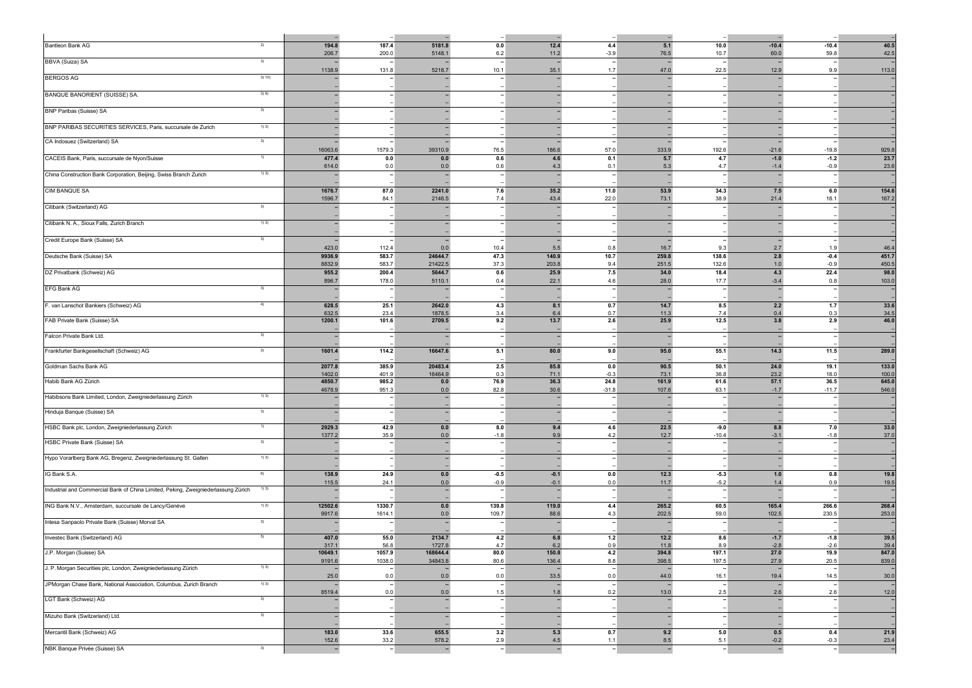| Bantleon Bank AG                                                                   | 2)     | 194.8<br>206.7           | 187.4<br>200.0                    | 5181.8<br>5148.1                   | 0.0<br>6.2                       | 12.4<br>11.2                     | 4.4<br>$-3.9$                    | 5.1<br>76.5                      | 10.0<br>10.7                     | $-10.4$<br>60.0                     | $-10.4$<br>59.8                  | 40.5<br>42.5         |
|------------------------------------------------------------------------------------|--------|--------------------------|-----------------------------------|------------------------------------|----------------------------------|----------------------------------|----------------------------------|----------------------------------|----------------------------------|-------------------------------------|----------------------------------|----------------------|
| BBVA (Suiza) SA                                                                    | 3)     | 1138.9                   | 131.8                             | 5218.7                             | $\overline{\phantom{a}}$<br>10.1 | $\overline{a}$<br>35.1           | $\overline{\phantom{a}}$<br>1.7  | 47.0                             | 22.5                             | $\overline{\phantom{a}}$<br>12.9    | $\overline{\phantom{a}}$<br>9.9  | 113.0                |
| <b>BERGOS AG</b>                                                                   | 3) 10) |                          |                                   |                                    |                                  |                                  |                                  |                                  |                                  |                                     |                                  |                      |
| BANQUE BANORIENT (SUISSE) SA.                                                      | 3)9)   |                          |                                   | $\overline{\phantom{a}}$           | $\overline{\phantom{a}}$         |                                  | $\overline{\phantom{0}}$         |                                  |                                  | $\qquad \qquad -$                   |                                  |                      |
| <b>BNP Paribas (Suisse) SA</b>                                                     | 3)     |                          |                                   |                                    |                                  |                                  |                                  |                                  |                                  |                                     |                                  |                      |
| BNP PARIBAS SECURITIES SERVICES, Paris, succursale de Zurich                       | 1) 3)  |                          |                                   |                                    |                                  |                                  |                                  |                                  |                                  |                                     |                                  |                      |
| CA Indosuez (Switzerland) SA                                                       | 3)     | 16063.6                  | 1579.3                            | 39310.9                            | $\overline{\phantom{a}}$<br>76.5 | 186.6                            | 57.0                             | 333.9                            | 192.6                            | $\overline{\phantom{0}}$<br>$-21.6$ | $-19.8$                          | 929.8                |
| CACEIS Bank, Paris, succursale de Nyon/Suisse                                      | 1)     | 477.4                    | 0.0                               | $0.0\,$                            | 0.6                              | 4.6                              | 0.1                              | 5.7                              | 4.7                              | $-1.0$                              | $-1.2$                           | 23.7                 |
| China Construction Bank Corporation, Beijing, Swiss Branch Zurich                  | 1) 3)  | 614.0                    | 0.0                               | 0.0                                | 0.6<br>$\overline{\phantom{a}}$  | 4.3                              | 0.1                              | 5.3                              | 4.7                              | $-1.4$<br>-                         | $-0.9$                           | 23.6                 |
| <b>CIM BANQUE SA</b>                                                               |        | 1676.7                   | 87.0                              | 2241.0                             | 7.6                              | 35.2                             | 11.0                             | 53.9                             | 34.3                             | 7.5                                 | 6.0                              | 154.6                |
| Citibank (Switzerland) AG                                                          | 3)     | 1596.7                   | 84.1                              | 2146.5<br>٠                        | 7.4<br>$\overline{\phantom{a}}$  | 43.4                             | 22.0<br>$\overline{\phantom{a}}$ | 73.1                             | 38.9                             | 21.4<br>$\overline{a}$              | 18.1<br>$\overline{\phantom{0}}$ | 167.2                |
| Citibank N. A., Sioux Falls, Zurich Branch                                         | 1) 3)  |                          |                                   |                                    |                                  |                                  |                                  |                                  |                                  |                                     |                                  |                      |
| Credit Europe Bank (Suisse) SA                                                     | 3)     | $\overline{\phantom{a}}$ |                                   | $\overline{\phantom{a}}$           | $\overline{\phantom{0}}$         | $\overline{\phantom{0}}$         |                                  |                                  | $\overline{\phantom{a}}$         | $\overline{\phantom{a}}$            |                                  |                      |
| Deutsche Bank (Suisse) SA                                                          |        | 423.0<br>9936.9          | 112.4<br>583.7                    | 0.0<br>24644.7                     | 10.4<br>47.3                     | $5.5$<br>140.9                   | 0.8<br>10.7                      | 16.7<br>259.8                    | 9.3<br>138.6                     | 2.7<br>2.8                          | 1.9<br>$-0.4$                    | 46.4<br>451.7        |
| DZ Privatbank (Schweiz) AG                                                         |        | 8832.9<br>955.2          | 583.7<br>200.4                    | 21422.5<br>5644.7                  | 37.3<br>0.6                      | 203.8<br>25.9                    | 9.4<br>7.5                       | 251.5<br>34.0                    | 132.6<br>18.4                    | 1.0<br>4.3                          | $-0.9$<br>22.4                   | 450.5<br>98.0        |
| EFG Bank AG                                                                        | 3)     | 896.7                    | 178.0<br>$\overline{\phantom{a}}$ | 5110.1<br>$\overline{\phantom{a}}$ | 0.4<br>$\overline{\phantom{a}}$  | 22.1                             | 4.6<br>$\overline{\phantom{0}}$  | 28.0<br>$\overline{\phantom{a}}$ | 17.7<br>$\overline{\phantom{0}}$ | $-3.4$<br>$\overline{\phantom{a}}$  | 0.8<br>$\overline{\phantom{a}}$  | 103.0                |
|                                                                                    | $-4)$  | 628.5                    |                                   | 2642.0                             |                                  |                                  |                                  | 14.7                             |                                  | 2.2                                 |                                  |                      |
| F. van Lanschot Bankiers (Schweiz) AG                                              |        | 632.5<br>1200.1          | 25.1<br>23.4<br>101.6             | 1878.5<br>2709.5                   | 4.3<br>3.4<br>9.2                | 8.1<br>6.4<br>13.7               | 0.7<br>0.7<br>2.6                | 11.3<br>25.9                     | 8.5<br>7.4<br>12.5               | 0.4<br>3.8                          | $1.7$<br>0.3<br>2.9              | 33.6<br>34.5<br>46.0 |
| FAB Private Bank (Suisse) SA<br>Falcon Private Bank Ltd.                           | 3)     |                          |                                   |                                    | $\overline{\phantom{a}}$         |                                  |                                  |                                  |                                  |                                     |                                  |                      |
|                                                                                    |        |                          |                                   |                                    |                                  |                                  |                                  |                                  |                                  |                                     |                                  |                      |
| Frankfurter Bankgesellschaft (Schweiz) AG                                          | 2)     | 1601.4                   | 114.2                             | 16647.6                            | 5.1                              | 80.0                             | 9.0                              | 95.0                             | 55.1                             | 14.3                                | 11.5                             | 289.0                |
| Goldman Sachs Bank AG                                                              |        | 2077.8<br>1402.0         | 385.9<br>401.9                    | 20483.4<br>16464.9                 | 2.5<br>0.3                       | 85.8<br>71.1                     | 0.0<br>$-0.3$                    | 90.5<br>73.1                     | 50.1<br>36.8                     | 24.0<br>23.2                        | 19.1<br>18.0                     | 133.0<br>100.0       |
| Habib Bank AG Zürich                                                               |        | 4850.7<br>4678.9         | 985.2<br>951.3                    | $0.0\,$<br>0.0                     | 76.9<br>82.8                     | 36.3<br>30.6                     | 24.8<br>$-31.8$                  | 161.9<br>107.6                   | 61.6<br>63.1                     | 57.1<br>$-1.7$                      | 36.5<br>$-11.7$                  | 645.0<br>546.0       |
| Habibsons Bank Limited, London, Zweigniederlassung Zürich                          | 1) 3)  |                          |                                   | -                                  | $\overline{\phantom{a}}$         |                                  |                                  |                                  |                                  | $\overline{\phantom{a}}$            |                                  |                      |
| Hinduja Banque (Suisse) SA                                                         | 3)     |                          |                                   |                                    | $\overline{\phantom{a}}$         |                                  |                                  |                                  |                                  |                                     |                                  |                      |
| HSBC Bank plc, London, Zweigniederlassung Zürich                                   | 1)     | 2929.3<br>1377.2         | 42.9<br>35.9                      | 0.0<br>0.0                         | 8.0<br>$-1.8$                    | 9.4<br>9.9                       | 4.6<br>4.2                       | 22.5<br>12.7                     | $-9.0$<br>$-10.4$                | 8.8<br>$-3.1$                       | 7.0<br>$-1.8$                    | 33.0<br>37.0         |
| HSBC Private Bank (Suisse) SA                                                      | 3)     |                          |                                   | ٠                                  | $\overline{\phantom{a}}$         | ۰                                |                                  |                                  |                                  | -                                   |                                  |                      |
| Hypo Vorarlberg Bank AG, Bregenz, Zweigniederlassung St. Gallen                    | 1) 3)  |                          |                                   | $\overline{\phantom{a}}$           | $\overline{\phantom{a}}$         |                                  | $\overline{\phantom{a}}$         |                                  |                                  | $\overline{\phantom{0}}$            |                                  |                      |
| IG Bank S.A.                                                                       | 6)     | 138.9<br>115.5           | 24.9<br>24.1                      | 0.0<br>0.0                         | $-0.5$<br>$-0.9$                 | $-0.1$<br>$-0.1$                 | 0.0<br>0.0                       | 12.3<br>11.7                     | $-5.3$<br>$-5.2$                 | $1.0$<br>1.4                        | 0.8<br>0.9                       | 19.8<br>19.5         |
| Industrial and Commercial Bank of China Limited, Peking, Zweigniederlassung Zürich | 1) 3)  |                          |                                   | $\overline{\phantom{a}}$           | $\overline{\phantom{a}}$         | $\overline{\phantom{0}}$         | $\overline{\phantom{a}}$         | $\overline{\phantom{a}}$         | $\overline{\phantom{a}}$         | $\overline{\phantom{0}}$            | $\overline{\phantom{a}}$         |                      |
| ING Bank N.V., Amsterdam, succursale de Lancy/Genève                               | 1) 2)  | 12502.6<br>9917.6        | 1330.7<br>1614.1                  | 0.0<br>0.0                         | 139.8<br>109.7                   | 119.0<br>88.6                    | 4.4<br>4.3                       | 265.2<br>202.5                   | 60.5<br>59.0                     | 165.4<br>102.5                      | 266.6<br>230.5                   | 268.4<br>253.0       |
| Intesa Sanpaolo Private Bank (Suisse) Morval SA                                    | 3)     |                          |                                   |                                    |                                  |                                  |                                  |                                  |                                  |                                     |                                  |                      |
| Investec Bank (Switzerland) AG                                                     |        | 407.0<br>317.1           | 55.0<br>56.8                      | 2134.7<br>1727.8                   | 4.2<br>4.7                       | $6.8\,$<br>6.2                   | $1.2$<br>0.9                     | 12.2<br>11.8                     | 8.6<br>8.9                       | $-1.7$<br>$-2.8$                    | $-1.8$<br>$-2.6$                 | 39.5<br>39.4         |
| J.P. Morgan (Suisse) SA                                                            |        | 10649.1<br>9191.6        | 1057.9<br>1038.0                  | 168644.4<br>34843.8                | 80.0<br>80.6                     | 150.8<br>136.4                   | 4.2<br>8.8                       | 394.8<br>398.5                   | 197.1<br>197.5                   | 27.0<br>27.9                        | 19.9<br>20.5                     | 847.0<br>839.0       |
| J. P. Morgan Securities plc, London, Zweigniederlassung Zürich                     | 1) 3)  | $25.0\,$                 | 0.0                               | 0.0                                | $\left  - \right $<br>0.0        | $\overline{\phantom{a}}$<br>33.5 | $\overline{\phantom{a}}$<br>0.0  | 44.0                             | 16.1                             | $\overline{\phantom{a}}$<br>19.4    | $\overline{\phantom{a}}$<br>14.5 | 30.0                 |
| JPMorgan Chase Bank, National Association, Columbus, Zurich Branch                 | 1)3)   | 8519.4                   | 0.0                               | $\overline{a}$<br>0.0              | $\overline{\phantom{a}}$<br>1.5  | 1.8                              | 0.2                              | 13.0                             | 2.5                              | $\overline{a}$<br>2.6               | 2.6                              | 12.0                 |
| LGT Bank (Schweiz) AG                                                              |        |                          |                                   |                                    | $\overline{\phantom{a}}$         |                                  |                                  |                                  |                                  | -                                   |                                  |                      |
| Mizuho Bank (Switzerland) Ltd.                                                     |        |                          | $\overline{\phantom{a}}$          | $\overline{\phantom{a}}$           | $\overline{\phantom{a}}$         |                                  | $\overline{\phantom{0}}$         |                                  |                                  | $\overline{\phantom{a}}$            | $\overline{\phantom{a}}$         |                      |
| Mercantil Bank (Schweiz) AG                                                        |        | 183.0<br>152.6           | 33.6<br>33.2                      | 655.5<br>578.2                     | 3.2<br>2.9                       | 5.3<br>4.5                       | 0.7<br>1.1                       | 9.2<br>$8.5\,$                   | 5.0<br>5.1                       | 0.5<br>$-0.2$                       | 0.4<br>$-0.3$                    | 21.9<br>23.4         |
| NBK Banque Privée (Suisse) SA                                                      | 3)     | $\sim$                   | H.                                | п.                                 | п.                               | п.                               | H.                               | $\sim$                           | - I                              | $\overline{\phantom{a}}$            | н.                               | $\mathbf{I}$         |